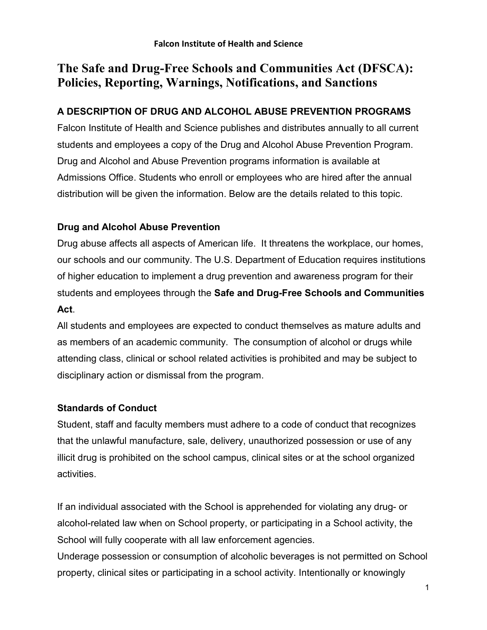# The Safe and Drug-Free Schools and Communities Act (DFSCA): Policies, Reporting, Warnings, Notifications, and Sanctions

# A DESCRIPTION OF DRUG AND ALCOHOL ABUSE PREVENTION PROGRAMS

Falcon Institute of Health and Science publishes and distributes annually to all current students and employees a copy of the Drug and Alcohol Abuse Prevention Program. Drug and Alcohol and Abuse Prevention programs information is available at Admissions Office. Students who enroll or employees who are hired after the annual distribution will be given the information. Below are the details related to this topic.

# Drug and Alcohol Abuse Prevention

Drug abuse affects all aspects of American life. It threatens the workplace, our homes, our schools and our community. The U.S. Department of Education requires institutions of higher education to implement a drug prevention and awareness program for their students and employees through the Safe and Drug-Free Schools and Communities Act.

All students and employees are expected to conduct themselves as mature adults and as members of an academic community. The consumption of alcohol or drugs while attending class, clinical or school related activities is prohibited and may be subject to disciplinary action or dismissal from the program.

# Standards of Conduct

Student, staff and faculty members must adhere to a code of conduct that recognizes that the unlawful manufacture, sale, delivery, unauthorized possession or use of any illicit drug is prohibited on the school campus, clinical sites or at the school organized activities.

If an individual associated with the School is apprehended for violating any drug- or alcohol-related law when on School property, or participating in a School activity, the School will fully cooperate with all law enforcement agencies.

Underage possession or consumption of alcoholic beverages is not permitted on School property, clinical sites or participating in a school activity. Intentionally or knowingly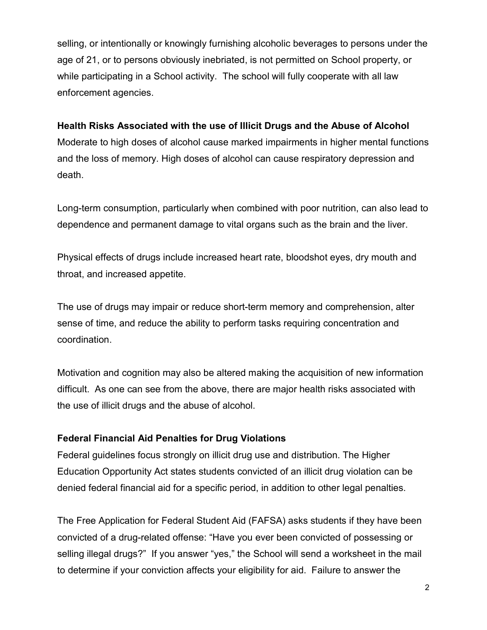selling, or intentionally or knowingly furnishing alcoholic beverages to persons under the age of 21, or to persons obviously inebriated, is not permitted on School property, or while participating in a School activity. The school will fully cooperate with all law enforcement agencies.

#### Health Risks Associated with the use of Illicit Drugs and the Abuse of Alcohol

Moderate to high doses of alcohol cause marked impairments in higher mental functions and the loss of memory. High doses of alcohol can cause respiratory depression and death.

Long-term consumption, particularly when combined with poor nutrition, can also lead to dependence and permanent damage to vital organs such as the brain and the liver.

Physical effects of drugs include increased heart rate, bloodshot eyes, dry mouth and throat, and increased appetite.

The use of drugs may impair or reduce short-term memory and comprehension, alter sense of time, and reduce the ability to perform tasks requiring concentration and coordination.

Motivation and cognition may also be altered making the acquisition of new information difficult. As one can see from the above, there are major health risks associated with the use of illicit drugs and the abuse of alcohol.

#### Federal Financial Aid Penalties for Drug Violations

Federal guidelines focus strongly on illicit drug use and distribution. The Higher Education Opportunity Act states students convicted of an illicit drug violation can be denied federal financial aid for a specific period, in addition to other legal penalties.

The Free Application for Federal Student Aid (FAFSA) asks students if they have been convicted of a drug-related offense: "Have you ever been convicted of possessing or selling illegal drugs?" If you answer "yes," the School will send a worksheet in the mail to determine if your conviction affects your eligibility for aid. Failure to answer the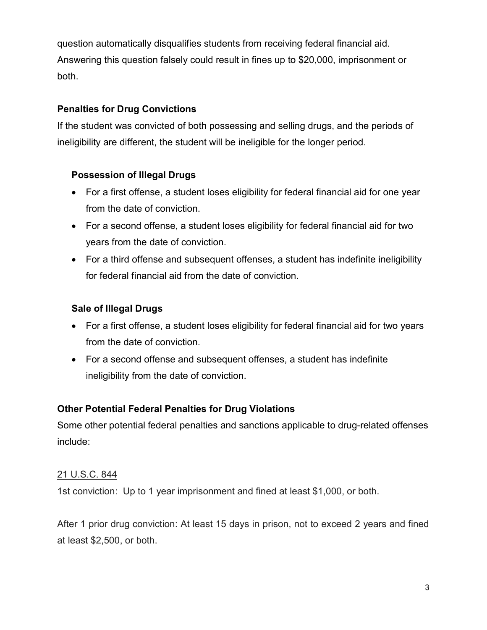question automatically disqualifies students from receiving federal financial aid. Answering this question falsely could result in fines up to \$20,000, imprisonment or both.

#### Penalties for Drug Convictions

If the student was convicted of both possessing and selling drugs, and the periods of ineligibility are different, the student will be ineligible for the longer period.

# Possession of Illegal Drugs

- For a first offense, a student loses eligibility for federal financial aid for one year from the date of conviction.
- For a second offense, a student loses eligibility for federal financial aid for two years from the date of conviction.
- For a third offense and subsequent offenses, a student has indefinite ineligibility for federal financial aid from the date of conviction.

# Sale of Illegal Drugs

- For a first offense, a student loses eligibility for federal financial aid for two years from the date of conviction.
- For a second offense and subsequent offenses, a student has indefinite ineligibility from the date of conviction.

# Other Potential Federal Penalties for Drug Violations

Some other potential federal penalties and sanctions applicable to drug-related offenses include:

#### 21 U.S.C. 844

1st conviction: Up to 1 year imprisonment and fined at least \$1,000, or both.

After 1 prior drug conviction: At least 15 days in prison, not to exceed 2 years and fined at least \$2,500, or both.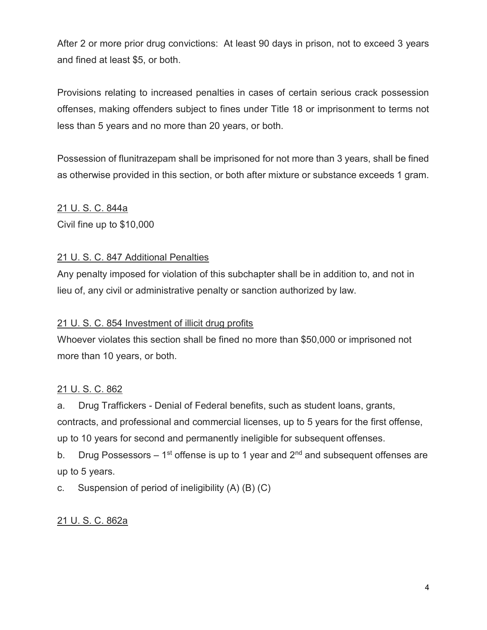After 2 or more prior drug convictions: At least 90 days in prison, not to exceed 3 years and fined at least \$5, or both.

Provisions relating to increased penalties in cases of certain serious crack possession offenses, making offenders subject to fines under Title 18 or imprisonment to terms not less than 5 years and no more than 20 years, or both.

Possession of flunitrazepam shall be imprisoned for not more than 3 years, shall be fined as otherwise provided in this section, or both after mixture or substance exceeds 1 gram.

#### 21 U. S. C. 844a

Civil fine up to \$10,000

#### 21 U. S. C. 847 Additional Penalties

Any penalty imposed for violation of this subchapter shall be in addition to, and not in lieu of, any civil or administrative penalty or sanction authorized by law.

#### 21 U. S. C. 854 Investment of illicit drug profits

Whoever violates this section shall be fined no more than \$50,000 or imprisoned not more than 10 years, or both.

#### 21 U. S. C. 862

a. Drug Traffickers - Denial of Federal benefits, such as student loans, grants, contracts, and professional and commercial licenses, up to 5 years for the first offense, up to 10 years for second and permanently ineligible for subsequent offenses.

b. Drug Possessors – 1<sup>st</sup> offense is up to 1 year and  $2<sup>nd</sup>$  and subsequent offenses are up to 5 years.

c. Suspension of period of ineligibility (A) (B) (C)

#### 21 U. S. C. 862a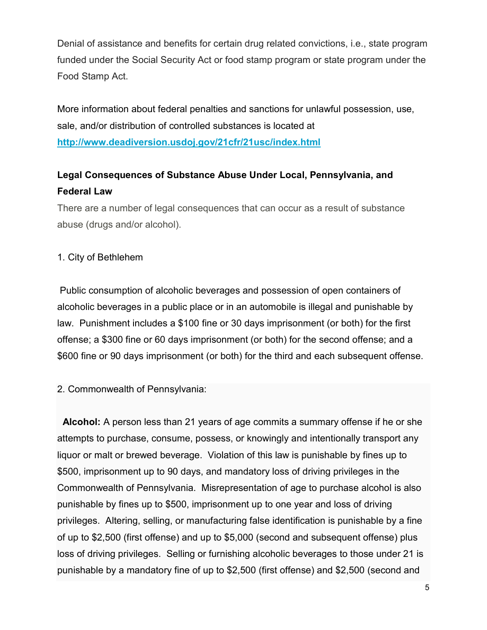Denial of assistance and benefits for certain drug related convictions, i.e., state program funded under the Social Security Act or food stamp program or state program under the Food Stamp Act.

More information about federal penalties and sanctions for unlawful possession, use, sale, and/or distribution of controlled substances is located at http://www.deadiversion.usdoj.gov/21cfr/21usc/index.html

# Legal Consequences of Substance Abuse Under Local, Pennsylvania, and Federal Law

There are a number of legal consequences that can occur as a result of substance abuse (drugs and/or alcohol).

#### 1. City of Bethlehem

 Public consumption of alcoholic beverages and possession of open containers of alcoholic beverages in a public place or in an automobile is illegal and punishable by law. Punishment includes a \$100 fine or 30 days imprisonment (or both) for the first offense; a \$300 fine or 60 days imprisonment (or both) for the second offense; and a \$600 fine or 90 days imprisonment (or both) for the third and each subsequent offense.

#### 2. Commonwealth of Pennsylvania:

 Alcohol: A person less than 21 years of age commits a summary offense if he or she attempts to purchase, consume, possess, or knowingly and intentionally transport any liquor or malt or brewed beverage. Violation of this law is punishable by fines up to \$500, imprisonment up to 90 days, and mandatory loss of driving privileges in the Commonwealth of Pennsylvania. Misrepresentation of age to purchase alcohol is also punishable by fines up to \$500, imprisonment up to one year and loss of driving privileges. Altering, selling, or manufacturing false identification is punishable by a fine of up to \$2,500 (first offense) and up to \$5,000 (second and subsequent offense) plus loss of driving privileges. Selling or furnishing alcoholic beverages to those under 21 is punishable by a mandatory fine of up to \$2,500 (first offense) and \$2,500 (second and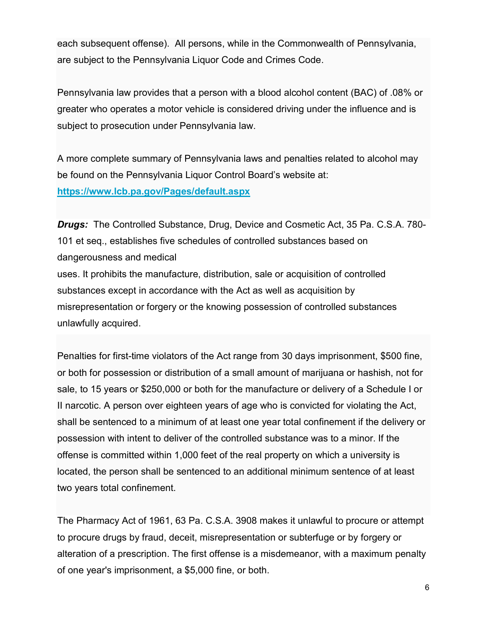each subsequent offense). All persons, while in the Commonwealth of Pennsylvania, are subject to the Pennsylvania Liquor Code and Crimes Code.

Pennsylvania law provides that a person with a blood alcohol content (BAC) of .08% or greater who operates a motor vehicle is considered driving under the influence and is subject to prosecution under Pennsylvania law.

A more complete summary of Pennsylvania laws and penalties related to alcohol may be found on the Pennsylvania Liquor Control Board's website at: https://www.lcb.pa.gov/Pages/default.aspx

Drugs: The Controlled Substance, Drug, Device and Cosmetic Act, 35 Pa. C.S.A. 780- 101 et seq., establishes five schedules of controlled substances based on dangerousness and medical

uses. It prohibits the manufacture, distribution, sale or acquisition of controlled substances except in accordance with the Act as well as acquisition by misrepresentation or forgery or the knowing possession of controlled substances unlawfully acquired.

Penalties for first-time violators of the Act range from 30 days imprisonment, \$500 fine, or both for possession or distribution of a small amount of marijuana or hashish, not for sale, to 15 years or \$250,000 or both for the manufacture or delivery of a Schedule I or II narcotic. A person over eighteen years of age who is convicted for violating the Act, shall be sentenced to a minimum of at least one year total confinement if the delivery or possession with intent to deliver of the controlled substance was to a minor. If the offense is committed within 1,000 feet of the real property on which a university is located, the person shall be sentenced to an additional minimum sentence of at least two years total confinement.

The Pharmacy Act of 1961, 63 Pa. C.S.A. 3908 makes it unlawful to procure or attempt to procure drugs by fraud, deceit, misrepresentation or subterfuge or by forgery or alteration of a prescription. The first offense is a misdemeanor, with a maximum penalty of one year's imprisonment, a \$5,000 fine, or both.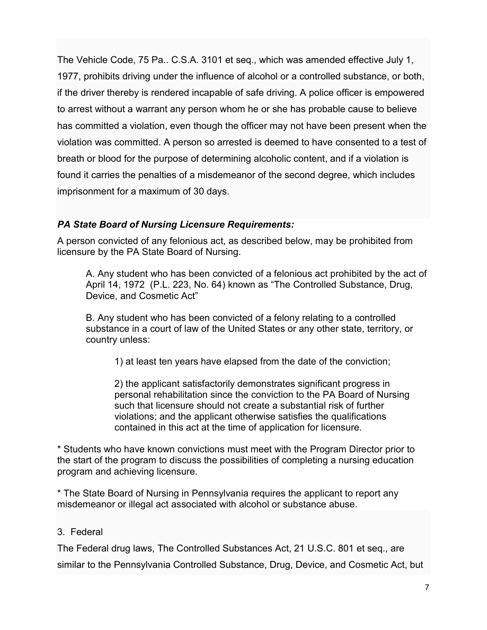The Vehicle Code, 75 Pa.. C.S.A. 3101 et seq., which was amended effective July 1, 1977, prohibits driving under the influence of alcohol or a controlled substance, or both, if the driver thereby is rendered incapable of safe driving. A police officer is empowered to arrest without a warrant any person whom he or she has probable cause to believe has committed a violation, even though the officer may not have been present when the violation was committed. A person so arrested is deemed to have consented to a test of breath or blood for the purpose of determining alcoholic content, and if a violation is found it carries the penalties of a misdemeanor of the second degree, which includes imprisonment for a maximum of 30 days.

#### PA State Board of Nursing Licensure Requirements:

A person convicted of any felonious act, as described below, may be prohibited from licensure by the PA State Board of Nursing.

A. Any student who has been convicted of a felonious act prohibited by the act of April 14, 1972 (P.L. 223, No. 64) known as "The Controlled Substance, Drug, Device, and Cosmetic Act"

B. Any student who has been convicted of a felony relating to a controlled substance in a court of law of the United States or any other state, territory, or country unless:

1) at least ten years have elapsed from the date of the conviction;

2) the applicant satisfactorily demonstrates significant progress in personal rehabilitation since the conviction to the PA Board of Nursing such that licensure should not create a substantial risk of further violations; and the applicant otherwise satisfies the qualifications contained in this act at the time of application for licensure.

\* Students who have known convictions must meet with the Program Director prior to the start of the program to discuss the possibilities of completing a nursing education program and achieving licensure.

\* The State Board of Nursing in Pennsylvania requires the applicant to report any misdemeanor or illegal act associated with alcohol or substance abuse.

#### 3. Federal

The Federal drug laws, The Controlled Substances Act, 21 U.S.C. 801 et seq., are similar to the Pennsylvania Controlled Substance, Drug, Device, and Cosmetic Act, but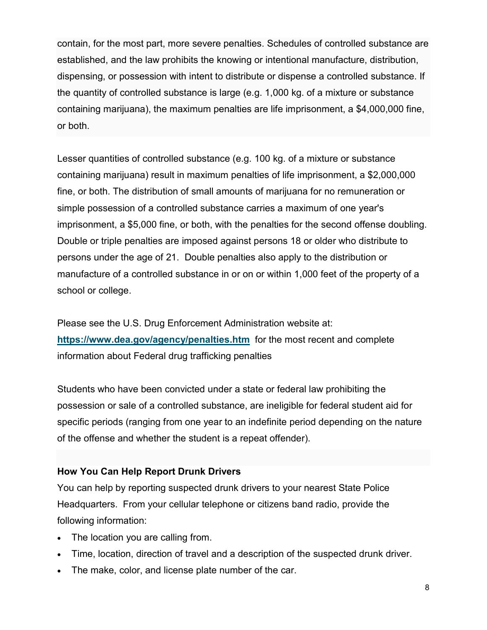contain, for the most part, more severe penalties. Schedules of controlled substance are established, and the law prohibits the knowing or intentional manufacture, distribution, dispensing, or possession with intent to distribute or dispense a controlled substance. If the quantity of controlled substance is large (e.g. 1,000 kg. of a mixture or substance containing marijuana), the maximum penalties are life imprisonment, a \$4,000,000 fine, or both.

Lesser quantities of controlled substance (e.g. 100 kg. of a mixture or substance containing marijuana) result in maximum penalties of life imprisonment, a \$2,000,000 fine, or both. The distribution of small amounts of marijuana for no remuneration or simple possession of a controlled substance carries a maximum of one year's imprisonment, a \$5,000 fine, or both, with the penalties for the second offense doubling. Double or triple penalties are imposed against persons 18 or older who distribute to persons under the age of 21. Double penalties also apply to the distribution or manufacture of a controlled substance in or on or within 1,000 feet of the property of a school or college.

Please see the U.S. Drug Enforcement Administration website at: https://www.dea.gov/agency/penalties.htm for the most recent and complete information about Federal drug trafficking penalties

Students who have been convicted under a state or federal law prohibiting the possession or sale of a controlled substance, are ineligible for federal student aid for specific periods (ranging from one year to an indefinite period depending on the nature of the offense and whether the student is a repeat offender).

#### How You Can Help Report Drunk Drivers

You can help by reporting suspected drunk drivers to your nearest State Police Headquarters. From your cellular telephone or citizens band radio, provide the following information:

- The location you are calling from.
- Time, location, direction of travel and a description of the suspected drunk driver.
- The make, color, and license plate number of the car.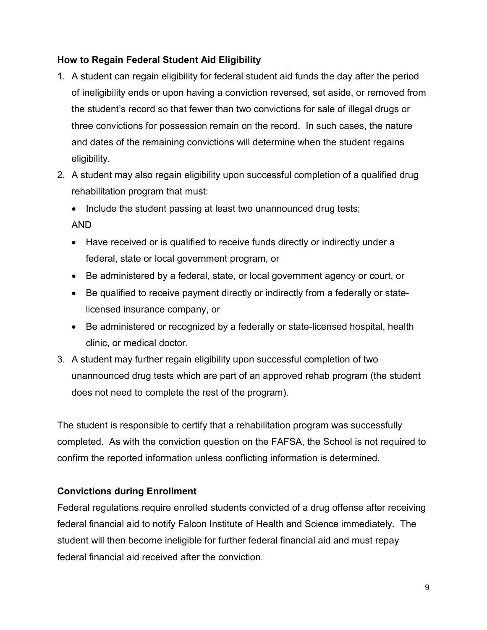#### How to Regain Federal Student Aid Eligibility

- 1. A student can regain eligibility for federal student aid funds the day after the period of ineligibility ends or upon having a conviction reversed, set aside, or removed from the student's record so that fewer than two convictions for sale of illegal drugs or three convictions for possession remain on the record. In such cases, the nature and dates of the remaining convictions will determine when the student regains eligibility.
- 2. A student may also regain eligibility upon successful completion of a qualified drug rehabilitation program that must:
	- Include the student passing at least two unannounced drug tests;

AND

- Have received or is qualified to receive funds directly or indirectly under a federal, state or local government program, or
- Be administered by a federal, state, or local government agency or court, or
- Be qualified to receive payment directly or indirectly from a federally or statelicensed insurance company, or
- Be administered or recognized by a federally or state-licensed hospital, health clinic, or medical doctor.
- 3. A student may further regain eligibility upon successful completion of two unannounced drug tests which are part of an approved rehab program (the student does not need to complete the rest of the program).

The student is responsible to certify that a rehabilitation program was successfully completed. As with the conviction question on the FAFSA, the School is not required to confirm the reported information unless conflicting information is determined.

# Convictions during Enrollment

Federal regulations require enrolled students convicted of a drug offense after receiving federal financial aid to notify Falcon Institute of Health and Science immediately. The student will then become ineligible for further federal financial aid and must repay federal financial aid received after the conviction.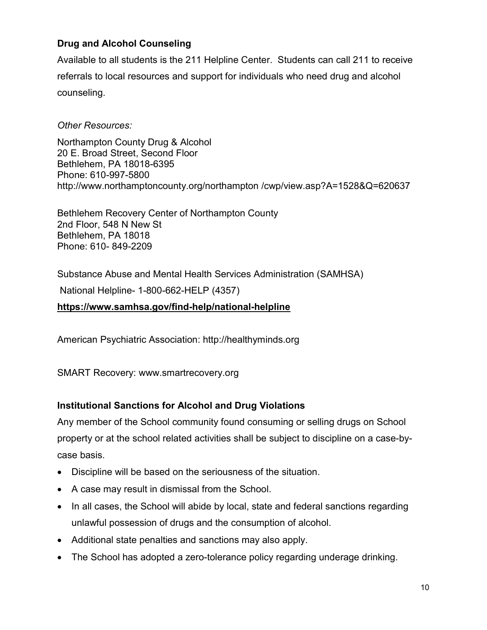# Drug and Alcohol Counseling

Available to all students is the 211 Helpline Center. Students can call 211 to receive referrals to local resources and support for individuals who need drug and alcohol counseling.

#### Other Resources:

Northampton County Drug & Alcohol 20 E. Broad Street, Second Floor Bethlehem, PA 18018-6395 Phone: 610-997-5800 http://www.northamptoncounty.org/northampton /cwp/view.asp?A=1528&Q=620637

Bethlehem Recovery Center of Northampton County 2nd Floor, 548 N New St Bethlehem, PA 18018 Phone: 610- 849-2209

Substance Abuse and Mental Health Services Administration (SAMHSA)

National Helpline- 1-800-662-HELP (4357)

#### https://www.samhsa.gov/find-help/national-helpline

American Psychiatric Association: http://healthyminds.org

SMART Recovery: www.smartrecovery.org

#### Institutional Sanctions for Alcohol and Drug Violations

Any member of the School community found consuming or selling drugs on School property or at the school related activities shall be subject to discipline on a case-bycase basis.

- Discipline will be based on the seriousness of the situation.
- A case may result in dismissal from the School.
- In all cases, the School will abide by local, state and federal sanctions regarding unlawful possession of drugs and the consumption of alcohol.
- Additional state penalties and sanctions may also apply.
- The School has adopted a zero-tolerance policy regarding underage drinking.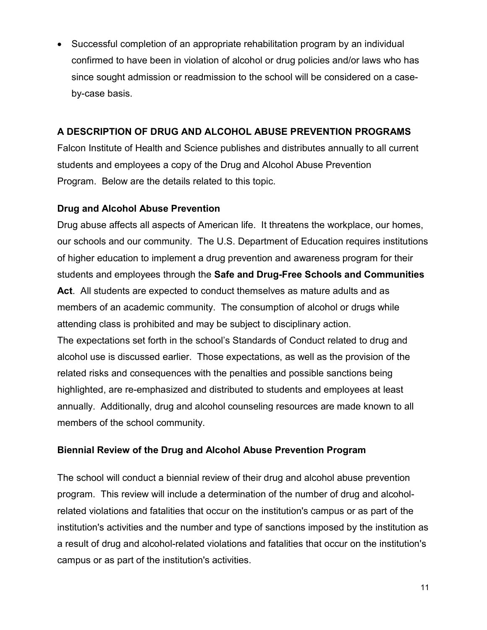Successful completion of an appropriate rehabilitation program by an individual confirmed to have been in violation of alcohol or drug policies and/or laws who has since sought admission or readmission to the school will be considered on a caseby-case basis.

#### A DESCRIPTION OF DRUG AND ALCOHOL ABUSE PREVENTION PROGRAMS

Falcon Institute of Health and Science publishes and distributes annually to all current students and employees a copy of the Drug and Alcohol Abuse Prevention Program. Below are the details related to this topic.

# Drug and Alcohol Abuse Prevention

Drug abuse affects all aspects of American life. It threatens the workplace, our homes, our schools and our community. The U.S. Department of Education requires institutions of higher education to implement a drug prevention and awareness program for their students and employees through the Safe and Drug-Free Schools and Communities Act. All students are expected to conduct themselves as mature adults and as members of an academic community. The consumption of alcohol or drugs while attending class is prohibited and may be subject to disciplinary action. The expectations set forth in the school's Standards of Conduct related to drug and alcohol use is discussed earlier. Those expectations, as well as the provision of the related risks and consequences with the penalties and possible sanctions being highlighted, are re-emphasized and distributed to students and employees at least annually. Additionally, drug and alcohol counseling resources are made known to all

# members of the school community.

# Biennial Review of the Drug and Alcohol Abuse Prevention Program

The school will conduct a biennial review of their drug and alcohol abuse prevention program. This review will include a determination of the number of drug and alcoholrelated violations and fatalities that occur on the institution's campus or as part of the institution's activities and the number and type of sanctions imposed by the institution as a result of drug and alcohol-related violations and fatalities that occur on the institution's campus or as part of the institution's activities.